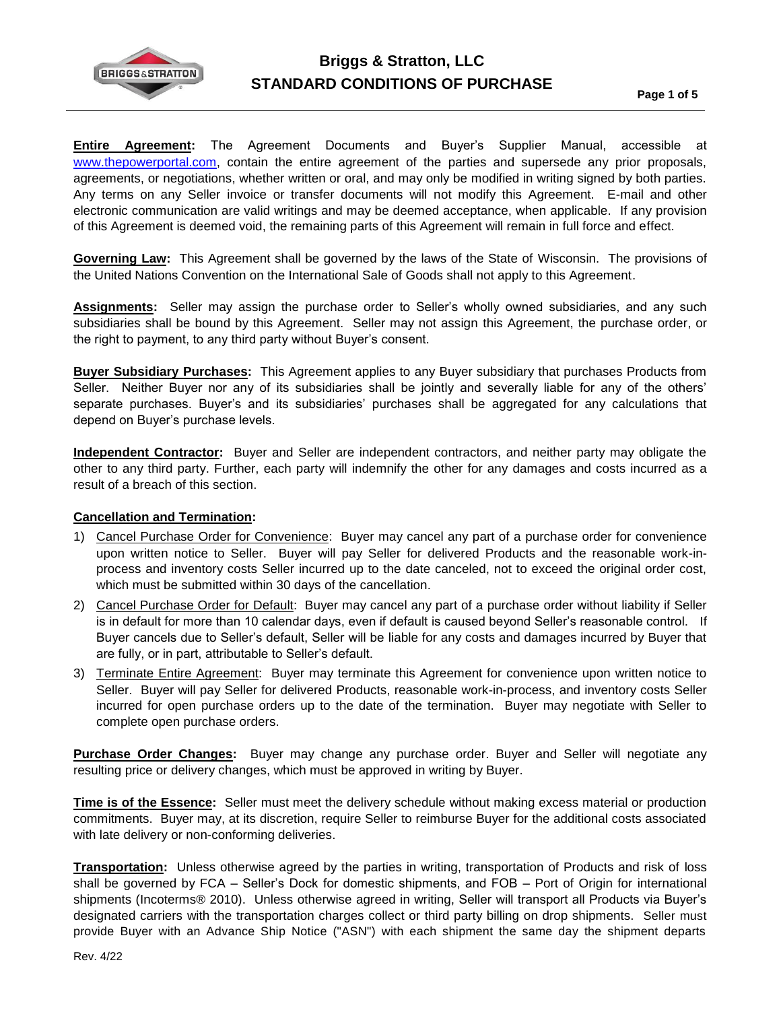

**Entire Agreement:** The Agreement Documents and Buyer's Supplier Manual, accessible at [www.thepowerportal.com,](http://www.thepowerportal.com/) contain the entire agreement of the parties and supersede any prior proposals, agreements, or negotiations, whether written or oral, and may only be modified in writing signed by both parties. Any terms on any Seller invoice or transfer documents will not modify this Agreement. E-mail and other electronic communication are valid writings and may be deemed acceptance, when applicable. If any provision of this Agreement is deemed void, the remaining parts of this Agreement will remain in full force and effect.

**Governing Law:** This Agreement shall be governed by the laws of the State of Wisconsin. The provisions of the United Nations Convention on the International Sale of Goods shall not apply to this Agreement.

**Assignments:** Seller may assign the purchase order to Seller's wholly owned subsidiaries, and any such subsidiaries shall be bound by this Agreement. Seller may not assign this Agreement, the purchase order, or the right to payment, to any third party without Buyer's consent.

**Buyer Subsidiary Purchases:** This Agreement applies to any Buyer subsidiary that purchases Products from Seller. Neither Buyer nor any of its subsidiaries shall be jointly and severally liable for any of the others' separate purchases. Buyer's and its subsidiaries' purchases shall be aggregated for any calculations that depend on Buyer's purchase levels.

**Independent Contractor:** Buyer and Seller are independent contractors, and neither party may obligate the other to any third party. Further, each party will indemnify the other for any damages and costs incurred as a result of a breach of this section.

## **Cancellation and Termination:**

- 1) Cancel Purchase Order for Convenience: Buyer may cancel any part of a purchase order for convenience upon written notice to Seller. Buyer will pay Seller for delivered Products and the reasonable work-inprocess and inventory costs Seller incurred up to the date canceled, not to exceed the original order cost, which must be submitted within 30 days of the cancellation.
- 2) Cancel Purchase Order for Default: Buyer may cancel any part of a purchase order without liability if Seller is in default for more than 10 calendar days, even if default is caused beyond Seller's reasonable control. If Buyer cancels due to Seller's default, Seller will be liable for any costs and damages incurred by Buyer that are fully, or in part, attributable to Seller's default.
- 3) Terminate Entire Agreement: Buyer may terminate this Agreement for convenience upon written notice to Seller. Buyer will pay Seller for delivered Products, reasonable work-in-process, and inventory costs Seller incurred for open purchase orders up to the date of the termination. Buyer may negotiate with Seller to complete open purchase orders.

**Purchase Order Changes:** Buyer may change any purchase order. Buyer and Seller will negotiate any resulting price or delivery changes, which must be approved in writing by Buyer.

**Time is of the Essence:** Seller must meet the delivery schedule without making excess material or production commitments. Buyer may, at its discretion, require Seller to reimburse Buyer for the additional costs associated with late delivery or non-conforming deliveries.

**Transportation:** Unless otherwise agreed by the parties in writing, transportation of Products and risk of loss shall be governed by FCA – Seller's Dock for domestic shipments, and FOB – Port of Origin for international shipments (Incoterms® 2010). Unless otherwise agreed in writing, Seller will transport all Products via Buyer's designated carriers with the transportation charges collect or third party billing on drop shipments. Seller must provide Buyer with an Advance Ship Notice ("ASN") with each shipment the same day the shipment departs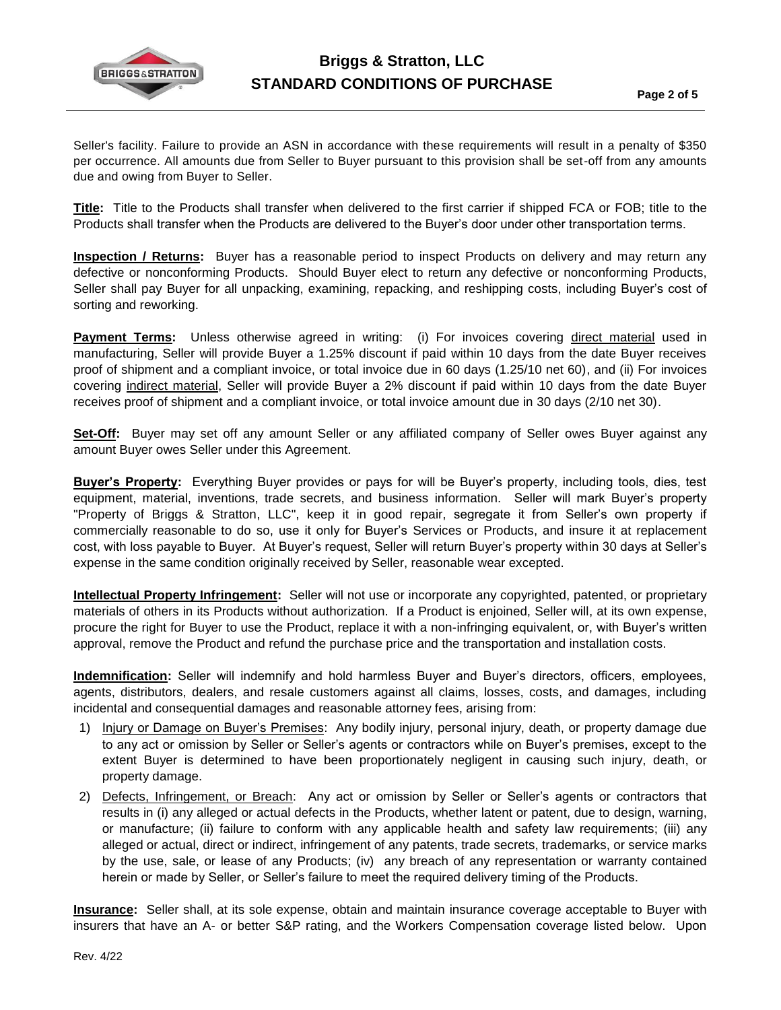

Seller's facility. Failure to provide an ASN in accordance with these requirements will result in a penalty of \$350 per occurrence. All amounts due from Seller to Buyer pursuant to this provision shall be set-off from any amounts due and owing from Buyer to Seller.

**Title:** Title to the Products shall transfer when delivered to the first carrier if shipped FCA or FOB; title to the Products shall transfer when the Products are delivered to the Buyer's door under other transportation terms.

**Inspection / Returns:** Buyer has a reasonable period to inspect Products on delivery and may return any defective or nonconforming Products. Should Buyer elect to return any defective or nonconforming Products, Seller shall pay Buyer for all unpacking, examining, repacking, and reshipping costs, including Buyer's cost of sorting and reworking.

**Payment Terms:** Unless otherwise agreed in writing: (i) For invoices covering direct material used in manufacturing, Seller will provide Buyer a 1.25% discount if paid within 10 days from the date Buyer receives proof of shipment and a compliant invoice, or total invoice due in 60 days (1.25/10 net 60), and (ii) For invoices covering indirect material, Seller will provide Buyer a 2% discount if paid within 10 days from the date Buyer receives proof of shipment and a compliant invoice, or total invoice amount due in 30 days (2/10 net 30).

**Set-Off:** Buyer may set off any amount Seller or any affiliated company of Seller owes Buyer against any amount Buyer owes Seller under this Agreement.

**Buyer's Property:** Everything Buyer provides or pays for will be Buyer's property, including tools, dies, test equipment, material, inventions, trade secrets, and business information. Seller will mark Buyer's property "Property of Briggs & Stratton, LLC", keep it in good repair, segregate it from Seller's own property if commercially reasonable to do so, use it only for Buyer's Services or Products, and insure it at replacement cost, with loss payable to Buyer. At Buyer's request, Seller will return Buyer's property within 30 days at Seller's expense in the same condition originally received by Seller, reasonable wear excepted.

**Intellectual Property Infringement:** Seller will not use or incorporate any copyrighted, patented, or proprietary materials of others in its Products without authorization. If a Product is enjoined, Seller will, at its own expense, procure the right for Buyer to use the Product, replace it with a non-infringing equivalent, or, with Buyer's written approval, remove the Product and refund the purchase price and the transportation and installation costs.

**Indemnification:** Seller will indemnify and hold harmless Buyer and Buyer's directors, officers, employees, agents, distributors, dealers, and resale customers against all claims, losses, costs, and damages, including incidental and consequential damages and reasonable attorney fees, arising from:

- 1) Injury or Damage on Buyer's Premises: Any bodily injury, personal injury, death, or property damage due to any act or omission by Seller or Seller's agents or contractors while on Buyer's premises, except to the extent Buyer is determined to have been proportionately negligent in causing such injury, death, or property damage.
- 2) Defects, Infringement, or Breach: Any act or omission by Seller or Seller's agents or contractors that results in (i) any alleged or actual defects in the Products, whether latent or patent, due to design, warning, or manufacture; (ii) failure to conform with any applicable health and safety law requirements; (iii) any alleged or actual, direct or indirect, infringement of any patents, trade secrets, trademarks, or service marks by the use, sale, or lease of any Products; (iv) any breach of any representation or warranty contained herein or made by Seller, or Seller's failure to meet the required delivery timing of the Products.

**Insurance:** Seller shall, at its sole expense, obtain and maintain insurance coverage acceptable to Buyer with insurers that have an A- or better S&P rating, and the Workers Compensation coverage listed below. Upon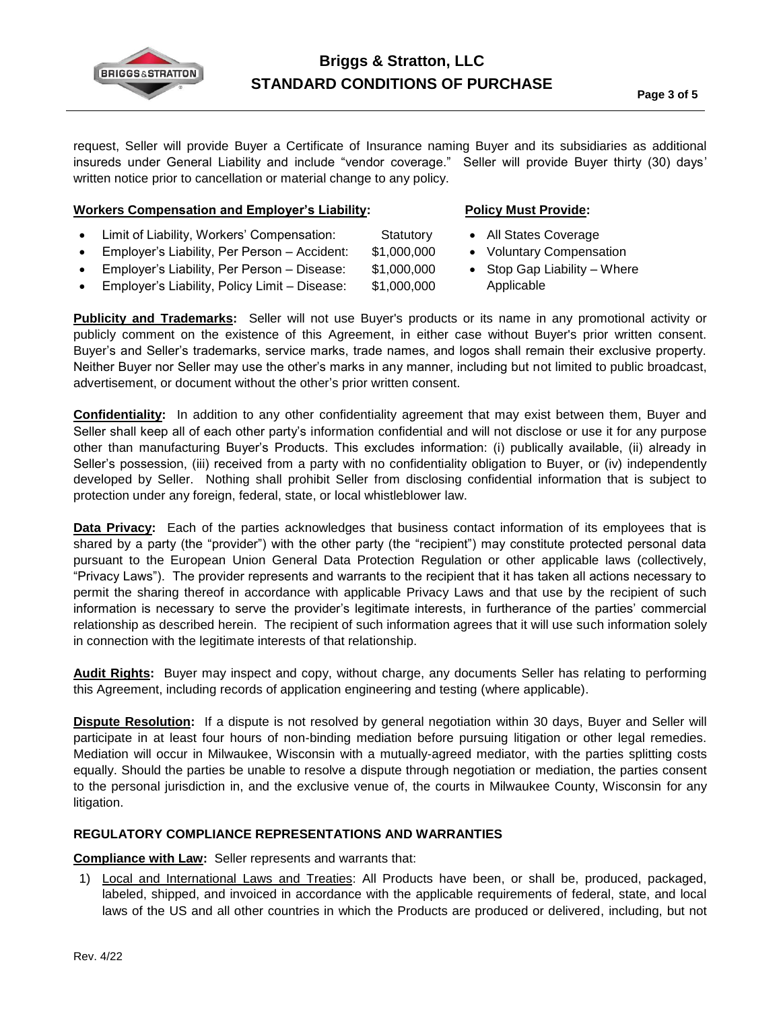

request, Seller will provide Buyer a Certificate of Insurance naming Buyer and its subsidiaries as additional insureds under General Liability and include "vendor coverage." Seller will provide Buyer thirty (30) days' written notice prior to cancellation or material change to any policy.

## **Workers Compensation and Employer's Liability:**

- Limit of Liability, Workers' Compensation: Statutory
- Employer's Liability, Per Person Accident: \$1,000,000
- Employer's Liability, Per Person Disease: \$1,000,000
- Employer's Liability, Policy Limit Disease: \$1,000,000
- **Policy Must Provide:**
- All States Coverage
- Voluntary Compensation
- Stop Gap Liability Where Applicable

**Publicity and Trademarks:** Seller will not use Buyer's products or its name in any promotional activity or publicly comment on the existence of this Agreement, in either case without Buyer's prior written consent. Buyer's and Seller's trademarks, service marks, trade names, and logos shall remain their exclusive property. Neither Buyer nor Seller may use the other's marks in any manner, including but not limited to public broadcast, advertisement, or document without the other's prior written consent.

**Confidentiality:** In addition to any other confidentiality agreement that may exist between them, Buyer and Seller shall keep all of each other party's information confidential and will not disclose or use it for any purpose other than manufacturing Buyer's Products. This excludes information: (i) publically available, (ii) already in Seller's possession, (iii) received from a party with no confidentiality obligation to Buyer, or (iv) independently developed by Seller. Nothing shall prohibit Seller from disclosing confidential information that is subject to protection under any foreign, federal, state, or local whistleblower law.

**Data Privacy:** Each of the parties acknowledges that business contact information of its employees that is shared by a party (the "provider") with the other party (the "recipient") may constitute protected personal data pursuant to the European Union General Data Protection Regulation or other applicable laws (collectively, "Privacy Laws"). The provider represents and warrants to the recipient that it has taken all actions necessary to permit the sharing thereof in accordance with applicable Privacy Laws and that use by the recipient of such information is necessary to serve the provider's legitimate interests, in furtherance of the parties' commercial relationship as described herein. The recipient of such information agrees that it will use such information solely in connection with the legitimate interests of that relationship.

**Audit Rights:** Buyer may inspect and copy, without charge, any documents Seller has relating to performing this Agreement, including records of application engineering and testing (where applicable).

**Dispute Resolution:** If a dispute is not resolved by general negotiation within 30 days, Buyer and Seller will participate in at least four hours of non-binding mediation before pursuing litigation or other legal remedies. Mediation will occur in Milwaukee, Wisconsin with a mutually-agreed mediator, with the parties splitting costs equally. Should the parties be unable to resolve a dispute through negotiation or mediation, the parties consent to the personal jurisdiction in, and the exclusive venue of, the courts in Milwaukee County, Wisconsin for any litigation.

## **REGULATORY COMPLIANCE REPRESENTATIONS AND WARRANTIES**

**Compliance with Law:** Seller represents and warrants that:

1) Local and International Laws and Treaties: All Products have been, or shall be, produced, packaged, labeled, shipped, and invoiced in accordance with the applicable requirements of federal, state, and local laws of the US and all other countries in which the Products are produced or delivered, including, but not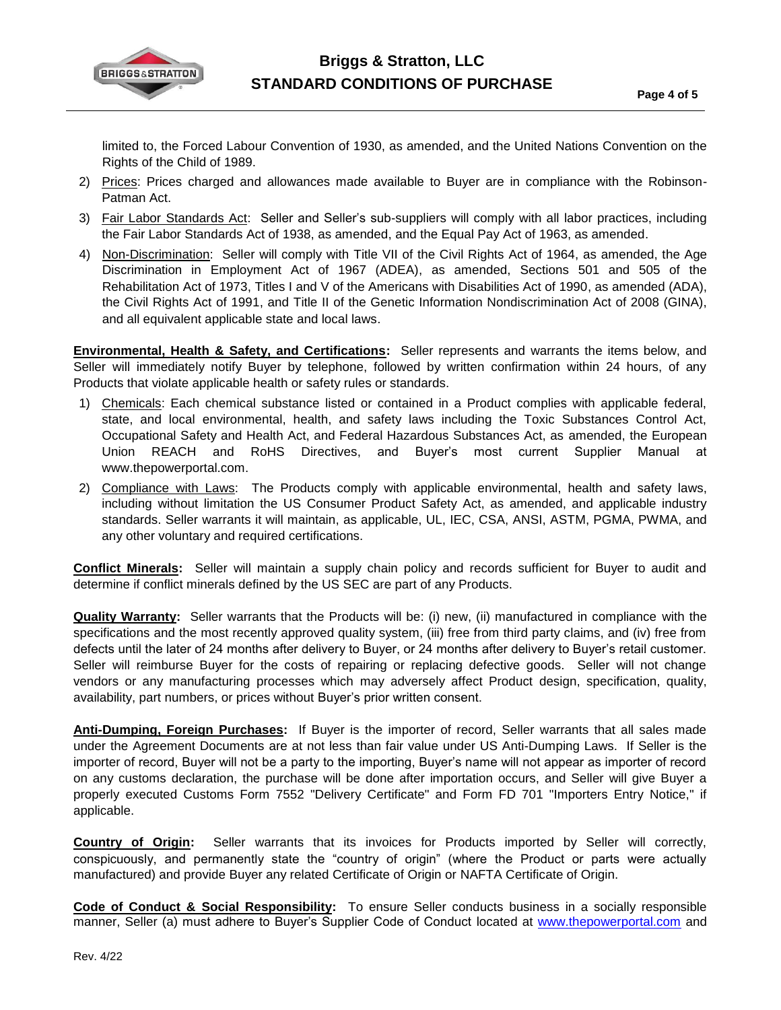

limited to, the Forced Labour Convention of 1930, as amended, and the United Nations Convention on the Rights of the Child of 1989.

- 2) Prices: Prices charged and allowances made available to Buyer are in compliance with the Robinson-Patman Act.
- 3) Fair Labor Standards Act: Seller and Seller's sub-suppliers will comply with all labor practices, including the Fair Labor Standards Act of 1938, as amended, and the Equal Pay Act of 1963, as amended.
- 4) Non-Discrimination: Seller will comply with Title VII of the Civil Rights Act of 1964, as amended, the Age Discrimination in Employment Act of 1967 (ADEA), as amended, Sections 501 and 505 of the Rehabilitation Act of 1973, Titles I and V of the Americans with Disabilities Act of 1990, as amended (ADA), the Civil Rights Act of 1991, and Title II of the Genetic Information Nondiscrimination Act of 2008 (GINA), and all equivalent applicable state and local laws.

**Environmental, Health & Safety, and Certifications:** Seller represents and warrants the items below, and Seller will immediately notify Buyer by telephone, followed by written confirmation within 24 hours, of any Products that violate applicable health or safety rules or standards.

- 1) Chemicals: Each chemical substance listed or contained in a Product complies with applicable federal, state, and local environmental, health, and safety laws including the Toxic Substances Control Act, Occupational Safety and Health Act, and Federal Hazardous Substances Act, as amended, the European Union REACH and RoHS Directives, and Buyer's most current Supplier Manual at www.thepowerportal.com.
- 2) Compliance with Laws: The Products comply with applicable environmental, health and safety laws, including without limitation the US Consumer Product Safety Act, as amended, and applicable industry standards. Seller warrants it will maintain, as applicable, UL, IEC, CSA, ANSI, ASTM, PGMA, PWMA, and any other voluntary and required certifications.

**Conflict Minerals:** Seller will maintain a supply chain policy and records sufficient for Buyer to audit and determine if conflict minerals defined by the US SEC are part of any Products.

**Quality Warranty:** Seller warrants that the Products will be: (i) new, (ii) manufactured in compliance with the specifications and the most recently approved quality system, (iii) free from third party claims, and (iv) free from defects until the later of 24 months after delivery to Buyer, or 24 months after delivery to Buyer's retail customer. Seller will reimburse Buyer for the costs of repairing or replacing defective goods. Seller will not change vendors or any manufacturing processes which may adversely affect Product design, specification, quality, availability, part numbers, or prices without Buyer's prior written consent.

**Anti-Dumping, Foreign Purchases:** If Buyer is the importer of record, Seller warrants that all sales made under the Agreement Documents are at not less than fair value under US Anti-Dumping Laws. If Seller is the importer of record, Buyer will not be a party to the importing, Buyer's name will not appear as importer of record on any customs declaration, the purchase will be done after importation occurs, and Seller will give Buyer a properly executed Customs Form 7552 "Delivery Certificate" and Form FD 701 "Importers Entry Notice," if applicable.

**Country of Origin:** Seller warrants that its invoices for Products imported by Seller will correctly, conspicuously, and permanently state the "country of origin" (where the Product or parts were actually manufactured) and provide Buyer any related Certificate of Origin or NAFTA Certificate of Origin.

**Code of Conduct & Social Responsibility:** To ensure Seller conducts business in a socially responsible manner, Seller (a) must adhere to Buyer's Supplier Code of Conduct located at [www.thepowerportal.com](http://www.thepowerportal.com/) and